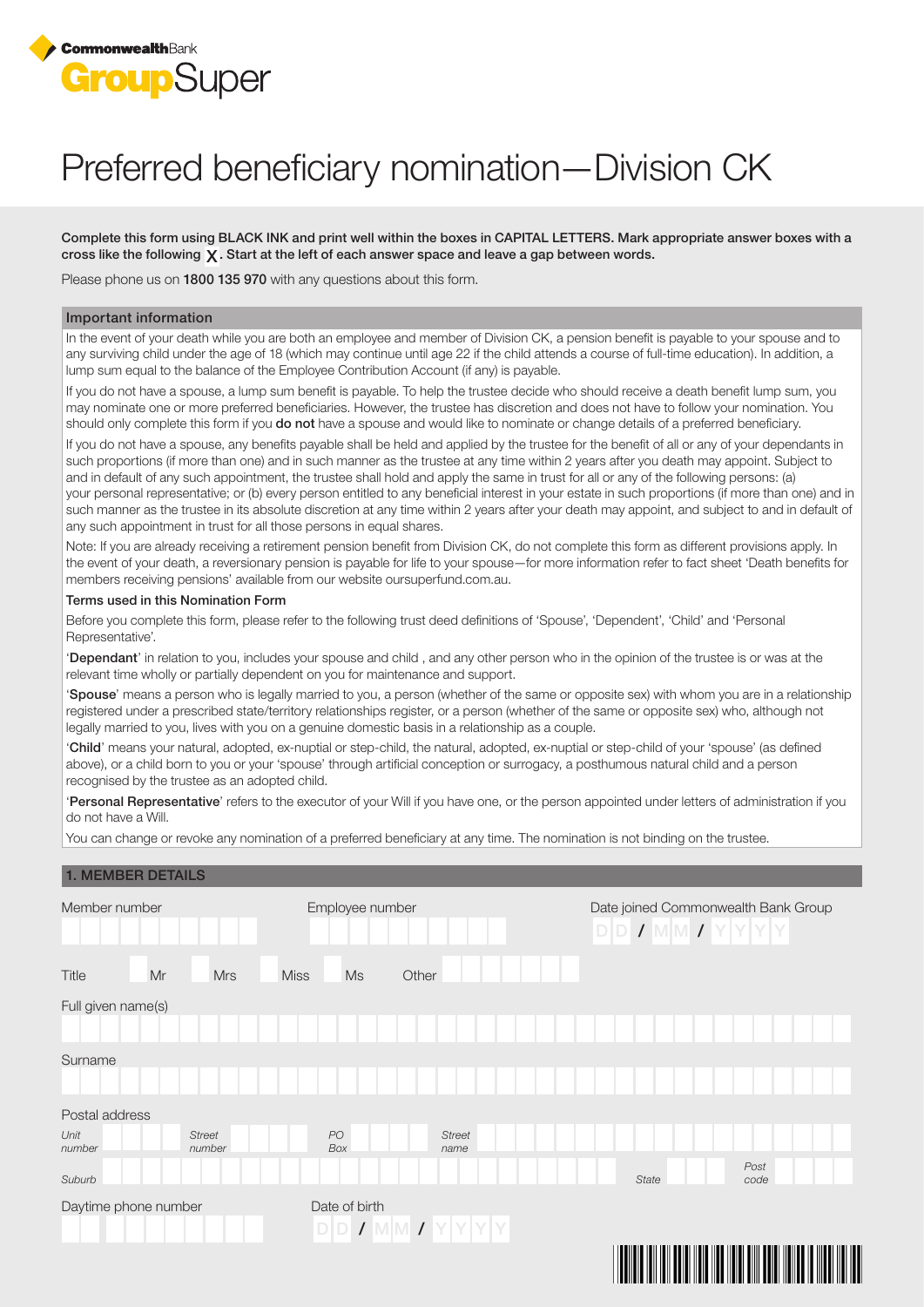

# Preferred beneficiary nomination—Division CK

Complete this form using BLACK INK and print well within the boxes in CAPITAL LETTERS. Mark appropriate answer boxes with a cross like the following  $\chi$ . Start at the left of each answer space and leave a gap between words.

Please phone us on 1800 135 970 with any questions about this form.

#### Important information

In the event of your death while you are both an employee and member of Division CK, a pension benefit is payable to your spouse and to any surviving child under the age of 18 (which may continue until age 22 if the child attends a course of full-time education). In addition, a lump sum equal to the balance of the Employee Contribution Account (if any) is payable.

If you do not have a spouse, a lump sum benefit is payable. To help the trustee decide who should receive a death benefit lump sum, you may nominate one or more preferred beneficiaries. However, the trustee has discretion and does not have to follow your nomination. You should only complete this form if you do not have a spouse and would like to nominate or change details of a preferred beneficiary.

If you do not have a spouse, any benefits payable shall be held and applied by the trustee for the benefit of all or any of your dependants in such proportions (if more than one) and in such manner as the trustee at any time within 2 years after you death may appoint. Subject to and in default of any such appointment, the trustee shall hold and apply the same in trust for all or any of the following persons: (a) your personal representative; or (b) every person entitled to any beneficial interest in your estate in such proportions (if more than one) and in such manner as the trustee in its absolute discretion at any time within 2 years after your death may appoint, and subject to and in default of any such appointment in trust for all those persons in equal shares.

Note: If you are already receiving a retirement pension benefit from Division CK, do not complete this form as different provisions apply. In the event of your death, a reversionary pension is payable for life to your spouse—for more information refer to fact sheet 'Death benefits for members receiving pensions' available from our website oursuperfund.com.au.

#### Terms used in this Nomination Form

Before you complete this form, please refer to the following trust deed definitions of 'Spouse', 'Dependent', 'Child' and 'Personal Representative'.

'Dependant' in relation to you, includes your spouse and child , and any other person who in the opinion of the trustee is or was at the relevant time wholly or partially dependent on you for maintenance and support.

'Spouse' means a person who is legally married to you, a person (whether of the same or opposite sex) with whom you are in a relationship registered under a prescribed state/territory relationships register, or a person (whether of the same or opposite sex) who, although not legally married to you, lives with you on a genuine domestic basis in a relationship as a couple.

'Child' means your natural, adopted, ex-nuptial or step-child, the natural, adopted, ex-nuptial or step-child of your 'spouse' (as defined above), or a child born to you or your 'spouse' through artificial conception or surrogacy, a posthumous natural child and a person recognised by the trustee as an adopted child.

'Personal Representative' refers to the executor of your Will if you have one, or the person appointed under letters of administration if you do not have a Will.

You can change or revoke any nomination of a preferred beneficiary at any time. The nomination is not binding on the trustee.

### 1. MEMBER DETAILS

| Member number          |                           | Employee number                        |               | $\textsf{D} \textsf{D}$ / $\textsf{M} \textsf{M}$ / $\textsf{Y} \textsf{Y} \textsf{Y}$ | Date joined Commonwealth Bank Group |
|------------------------|---------------------------|----------------------------------------|---------------|----------------------------------------------------------------------------------------|-------------------------------------|
| Mr<br><b>Title</b>     | <b>Miss</b><br><b>Mrs</b> | Ms                                     | Other         |                                                                                        |                                     |
| Full given name(s)     |                           |                                        |               |                                                                                        |                                     |
|                        |                           |                                        |               |                                                                                        |                                     |
| Surname                |                           |                                        |               |                                                                                        |                                     |
|                        |                           |                                        |               |                                                                                        |                                     |
| Postal address<br>Unit | <b>Street</b>             | $PO$                                   | <b>Street</b> |                                                                                        |                                     |
| number                 | number                    | Box                                    | name          |                                                                                        |                                     |
| Suburb                 |                           |                                        |               | <b>State</b>                                                                           | Post<br>code                        |
| Daytime phone number   |                           | Date of birth<br>$D D I W M I Y Y Y Y$ |               |                                                                                        |                                     |
|                        |                           |                                        |               | Ш<br><u> Hill</u>                                                                      | <u> Hill Hill</u>                   |